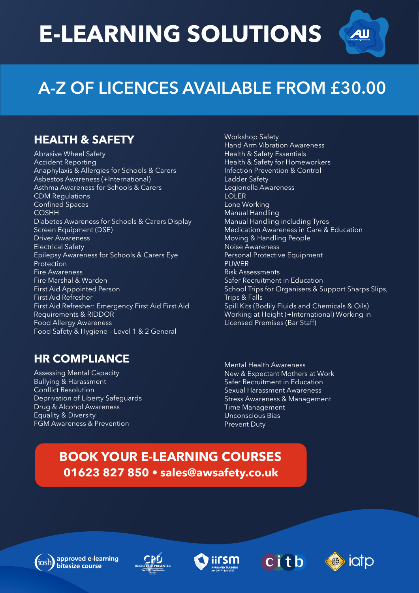# **E-LEARNING SOLUTIONS**



# **A-Z OF LICENCES AVAILABLE FROM £30.00**

### **HEALTH & SAFETY**

Abrasive Wheel Safety Accident Reporting Anaphylaxis & Allergies for Schools & Carers Asbestos Awareness (+International) Asthma Awareness for Schools & Carers CDM Regulations Confined Spaces COSHH Diabetes Awareness for Schools & Carers Display Screen Equipment (DSE) Driver Awareness Electrical Safety Epilepsy Awareness for Schools & Carers Eye Protection Fire Awareness Fire Marshal & Warden First Aid Appointed Person First Aid Refresher First Aid Refresher: Emergency First Aid First Aid Requirements & RIDDOR Food Allergy Awareness Food Safety & Hygiene – Level 1 & 2 General

### **HR COMPLIANCE**

Assessing Mental Capacity Bullying & Harassment Conflict Resolution Deprivation of Liberty Safeguards Drug & Alcohol Awareness Equality & Diversity FGM Awareness & Prevention

Workshop Safety Hand Arm Vibration Awareness Health & Safety Essentials Health & Safety for Homeworkers Infection Prevention & Control Ladder Safety Legionella Awareness LOLER Lone Working Manual Handling Manual Handling including Tyres Medication Awareness in Care & Education Moving & Handling People Noise Awareness Personal Protective Equipment **PUWER** Risk Assessments Safer Recruitment in Education School Trips for Organisers & Support Sharps Slips, Trips & Falls Spill Kits (Bodily Fluids and Chemicals & Oils) Working at Height (+International) Working in Licensed Premises (Bar Staff)

Mental Health Awareness New & Expectant Mothers at Work Safer Recruitment in Education Sexual Harassment Awareness Stress Awareness & Management Time Management Unconscious Bias Prevent Duty

## **01623 827 850 • sales@awsafety.co.uk BOOK YOUR E-LEARNING COURSES**